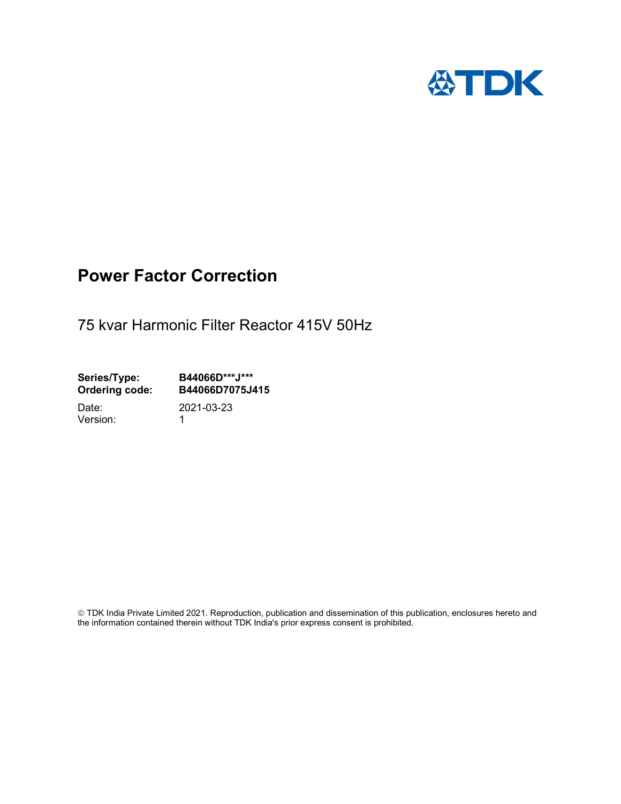

## Power Factor Correction

75 kvar Harmonic Filter Reactor 415V 50Hz

Series/Type: B44066D\*\*\*J\*\*\*<br>Ordering code: B44066D7075J4 B44066D7075J415 Date: 2021-03-23

Version: 1

 TDK India Private Limited 2021. Reproduction, publication and dissemination of this publication, enclosures hereto and the information contained therein without TDK India's prior express consent is prohibited.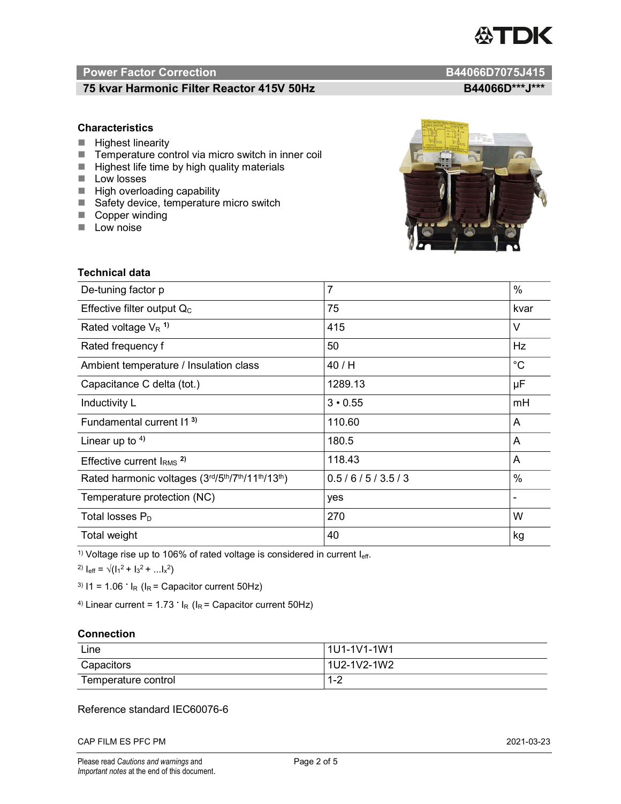# TDK

### Power Factor Correction and Content of Content of Content of Content of Content of Content of Content of Content of Content of Content of Content of Content of Content of Content of Content of Content of Content of Content

#### 75 kvar Harmonic Filter Reactor 415V 50Hz B44066D\*\*\*J\*\*\*

#### **Characteristics**

- $\blacksquare$  Highest linearity
- Temperature control via micro switch in inner coil
- $\blacksquare$  Highest life time by high quality materials
- **Low losses**
- $\blacksquare$  High overloading capability
- Safety device, temperature micro switch
- Copper winding
- **Low noise**



| Technical data                                  |                |             |  |
|-------------------------------------------------|----------------|-------------|--|
| De-tuning factor p                              | $\overline{7}$ | %           |  |
| Effective filter output $Q_C$                   | 75             | kvar        |  |
| Rated voltage $V_R$ <sup>1)</sup>               | 415            | V           |  |
| Rated frequency f                               | 50             | Hz          |  |
| Ambient temperature / Insulation class          | 40/H           | $^{\circ}C$ |  |
| Capacitance C delta (tot.)                      | 1289.13        | μF          |  |
| Inductivity L                                   | $3 \cdot 0.55$ | mH          |  |
| Fundamental current 11 <sup>3)</sup>            | 110.60         | A           |  |
| Linear up to $4$ )                              | 180.5          | A           |  |
| Effective current $IRMS$ <sup>2)</sup>          | 118.43         | A           |  |
| Rated harmonic voltages (3rd/5th/7th/11th/13th) | 0.5/6/5/3.5/3  | $\%$        |  |
| Temperature protection (NC)                     | yes            |             |  |
| Total losses $P_D$                              | 270            | W           |  |
| Total weight                                    | 40             | kg          |  |

<sup>1)</sup> Voltage rise up to 106% of rated voltage is considered in current  $I_{\text{eff}}$ .

<sup>2)</sup>  $I_{eff} = \sqrt{(I_1^2 + I_3^2 + ... I_x^2)}$ 

<sup>3)</sup>  $11 = 1.06$   $\cdot$   $I_R$  ( $I_R$  = Capacitor current 50Hz)

<sup>4)</sup> Linear current =  $1.73$   $\cdot$  I<sub>R</sub> (I<sub>R</sub> = Capacitor current 50Hz)

#### **Connection**

| Line                | l 1U1-1V1-1W1       |
|---------------------|---------------------|
| Capacitors          | l 1U2-1V2-1W2       |
| Temperature control | <u> 4 ຕ</u><br>ے- ا |

#### Reference standard IEC60076-6

CAP FILM ES PFC PM 2021-03-23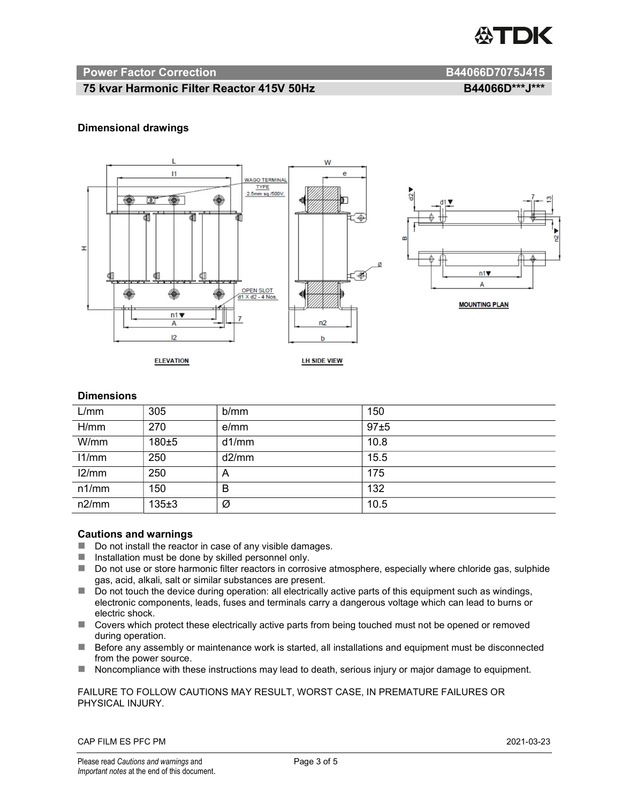

#### Power Factor Correction and B44066D7075J415

#### 75 kvar Harmonic Filter Reactor 415V 50Hz B44066D\*\*\*J\*\*\*

#### Dimensional drawings



#### **Dimensions**

| L/mm  | 305   | b/mm  | 150  |
|-------|-------|-------|------|
| H/mm  | 270   | e/mm  | 97±5 |
| W/mm  | 180±5 | d1/mm | 10.8 |
| 11/mm | 250   | d2/mm | 15.5 |
| 12/mm | 250   | A     | 175  |
| n1/mm | 150   | B     | 132  |
| n2/mm | 135±3 | Ø     | 10.5 |

#### Cautions and warnings

- Do not install the reactor in case of any visible damages.
- $\blacksquare$  Installation must be done by skilled personnel only.
- Do not use or store harmonic filter reactors in corrosive atmosphere, especially where chloride gas, sulphide gas, acid, alkali, salt or similar substances are present.
- Do not touch the device during operation: all electrically active parts of this equipment such as windings, electronic components, leads, fuses and terminals carry a dangerous voltage which can lead to burns or electric shock.
- Covers which protect these electrically active parts from being touched must not be opened or removed during operation.
- Before any assembly or maintenance work is started, all installations and equipment must be disconnected from the power source.
- Noncompliance with these instructions may lead to death, serious injury or major damage to equipment.

FAILURE TO FOLLOW CAUTIONS MAY RESULT, WORST CASE, IN PREMATURE FAILURES OR PHYSICAL INJURY.

CAP FILM ES PFC PM 2021-03-23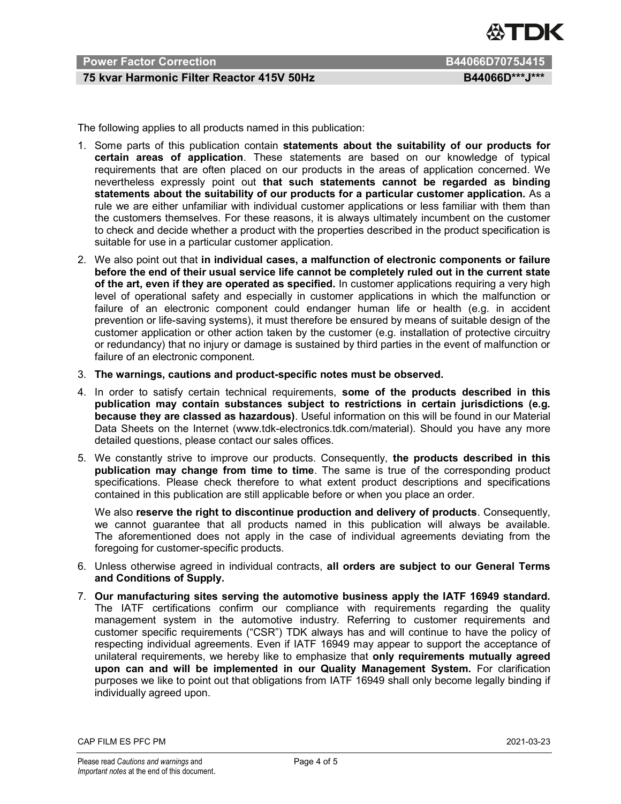

#### Power Factor Correction **B44066D7075J415**

#### 75 kvar Harmonic Filter Reactor 415V 50Hz B44066D\*\*\*J\*\*\*

The following applies to all products named in this publication:

- 1. Some parts of this publication contain statements about the suitability of our products for certain areas of application. These statements are based on our knowledge of typical requirements that are often placed on our products in the areas of application concerned. We nevertheless expressly point out that such statements cannot be regarded as binding statements about the suitability of our products for a particular customer application. As a rule we are either unfamiliar with individual customer applications or less familiar with them than the customers themselves. For these reasons, it is always ultimately incumbent on the customer to check and decide whether a product with the properties described in the product specification is suitable for use in a particular customer application.
- 2. We also point out that in individual cases, a malfunction of electronic components or failure before the end of their usual service life cannot be completely ruled out in the current state of the art, even if they are operated as specified. In customer applications requiring a very high level of operational safety and especially in customer applications in which the malfunction or failure of an electronic component could endanger human life or health (e.g. in accident prevention or life-saving systems), it must therefore be ensured by means of suitable design of the customer application or other action taken by the customer (e.g. installation of protective circuitry or redundancy) that no injury or damage is sustained by third parties in the event of malfunction or failure of an electronic component.
- 3. The warnings, cautions and product-specific notes must be observed.
- 4. In order to satisfy certain technical requirements, some of the products described in this publication may contain substances subject to restrictions in certain jurisdictions (e.g. because they are classed as hazardous). Useful information on this will be found in our Material Data Sheets on the Internet (www.tdk-electronics.tdk.com/material). Should you have any more detailed questions, please contact our sales offices.
- 5. We constantly strive to improve our products. Consequently, the products described in this publication may change from time to time. The same is true of the corresponding product specifications. Please check therefore to what extent product descriptions and specifications contained in this publication are still applicable before or when you place an order.

We also reserve the right to discontinue production and delivery of products. Consequently, we cannot guarantee that all products named in this publication will always be available. The aforementioned does not apply in the case of individual agreements deviating from the foregoing for customer-specific products.

- 6. Unless otherwise agreed in individual contracts, all orders are subject to our General Terms and Conditions of Supply.
- 7. Our manufacturing sites serving the automotive business apply the IATF 16949 standard. The IATF certifications confirm our compliance with requirements regarding the quality management system in the automotive industry. Referring to customer requirements and customer specific requirements ("CSR") TDK always has and will continue to have the policy of respecting individual agreements. Even if IATF 16949 may appear to support the acceptance of unilateral requirements, we hereby like to emphasize that only requirements mutually agreed upon can and will be implemented in our Quality Management System. For clarification purposes we like to point out that obligations from IATF 16949 shall only become legally binding if individually agreed upon.